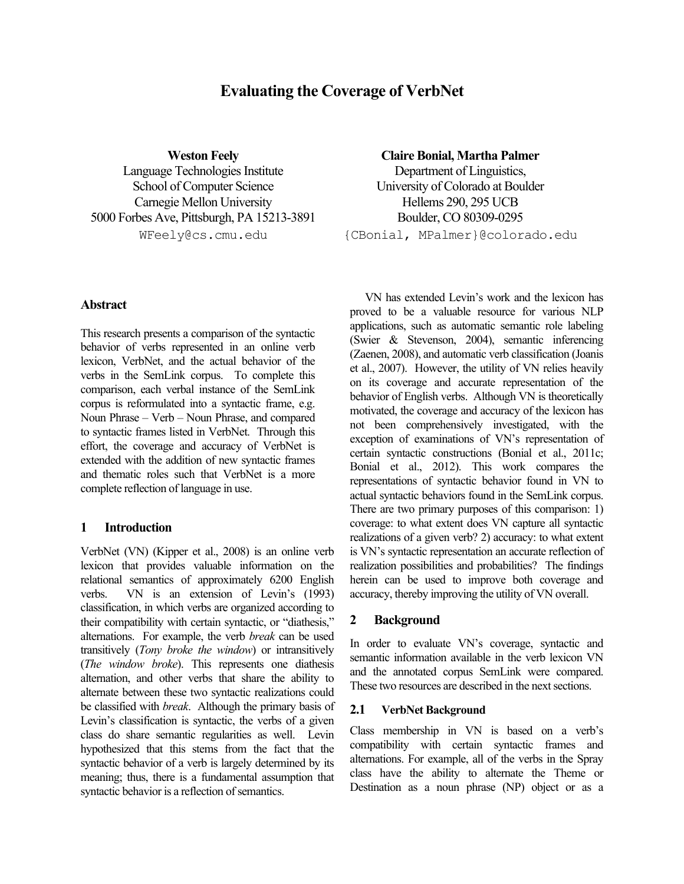# **Evaluating the Coverage of VerbNet**

Language Technologies Institute School of Computer Science Carnegie Mellon University Hellems 290, 295 UCB 5000 Forbes Ave, Pittsburgh, PA 15213-3891 Boulder, CO 80309-0295

# **Weston Feely Claire Bonial, Martha Palmer**

Department of Linguistics, University of Colorado at Boulder WFeely@cs.cmu.edu {CBonial, MPalmer}@colorado.edu

#### **Abstract**

This research presents a comparison of the syntactic behavior of verbs represented in an online verb lexicon, VerbNet, and the actual behavior of the verbs in the SemLink corpus. To complete this comparison, each verbal instance of the SemLink corpus is reformulated into a syntactic frame, e.g. Noun Phrase – Verb – Noun Phrase, and compared to syntactic frames listed in VerbNet. Through this effort, the coverage and accuracy of VerbNet is extended with the addition of new syntactic frames and thematic roles such that VerbNet is a more complete reflection of language in use.

# **1 Introduction**

VerbNet (VN) (Kipper et al., 2008) is an online verb lexicon that provides valuable information on the relational semantics of approximately 6200 English verbs. VN is an extension of Levin's (1993) classification, in which verbs are organized according to their compatibility with certain syntactic, or "diathesis," alternations. For example, the verb *break* can be used transitively (*Tony broke the window*) or intransitively (*The window broke*). This represents one diathesis alternation, and other verbs that share the ability to alternate between these two syntactic realizations could be classified with *break*. Although the primary basis of Levin's classification is syntactic, the verbs of a given class do share semantic regularities as well. Levin hypothesized that this stems from the fact that the syntactic behavior of a verb is largely determined by its meaning; thus, there is a fundamental assumption that syntactic behavior is a reflection of semantics.

VN has extended Levin's work and the lexicon has proved to be a valuable resource for various NLP applications, such as automatic semantic role labeling (Swier & Stevenson, 2004), semantic inferencing (Zaenen, 2008), and automatic verb classification (Joanis et al., 2007). However, the utility of VN relies heavily on its coverage and accurate representation of the behavior of English verbs. Although VN is theoretically motivated, the coverage and accuracy of the lexicon has not been comprehensively investigated, with the exception of examinations of VN's representation of certain syntactic constructions (Bonial et al., 2011c; Bonial et al., 2012). This work compares the representations of syntactic behavior found in VN to actual syntactic behaviors found in the SemLink corpus. There are two primary purposes of this comparison: 1) coverage: to what extent does VN capture all syntactic realizations of a given verb? 2) accuracy: to what extent is VN's syntactic representation an accurate reflection of realization possibilities and probabilities? The findings herein can be used to improve both coverage and accuracy, thereby improving the utility of VN overall.

# **2 Background**

In order to evaluate VN's coverage, syntactic and semantic information available in the verb lexicon VN and the annotated corpus SemLink were compared. These two resources are described in the next sections.

#### **2.1 VerbNet Background**

Class membership in VN is based on a verb's compatibility with certain syntactic frames and alternations. For example, all of the verbs in the Spray class have the ability to alternate the Theme or Destination as a noun phrase (NP) object or as a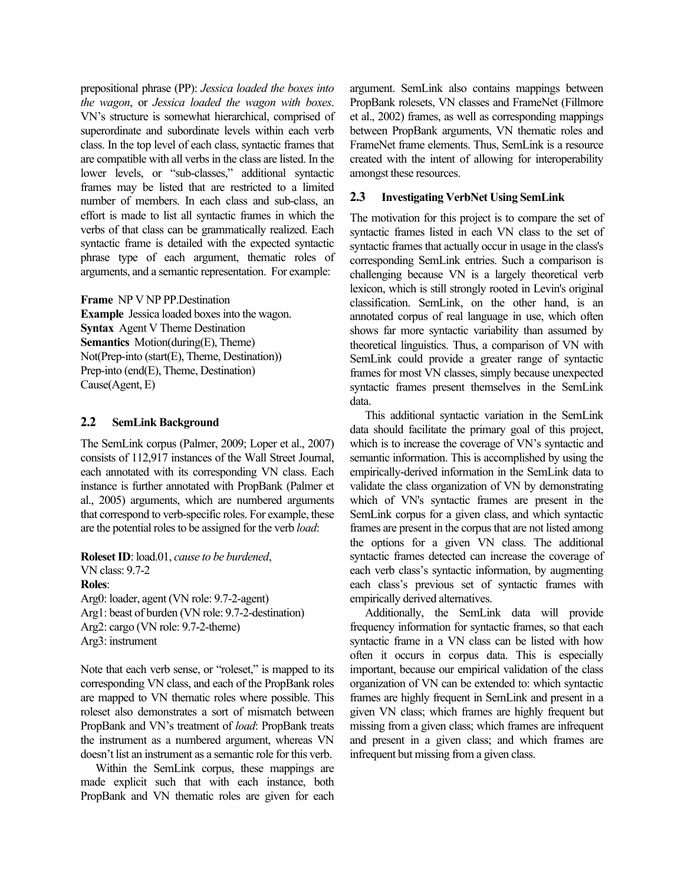prepositional phrase (PP): *Jessica loaded the boxes into the wagon*, or *Jessica loaded the wagon with boxes*. VN's structure is somewhat hierarchical, comprised of superordinate and subordinate levels within each verb class. In the top level of each class, syntactic frames that are compatible with all verbs in the class are listed. In the lower levels, or "sub-classes," additional syntactic frames may be listed that are restricted to a limited number of members. In each class and sub-class, an effort is made to list all syntactic frames in which the verbs of that class can be grammatically realized. Each syntactic frame is detailed with the expected syntactic phrase type of each argument, thematic roles of arguments, and a semantic representation. For example:

**Frame** NP V NP PP.Destination **Example** Jessica loaded boxes into the wagon. **Syntax** Agent V Theme Destination **Semantics** Motion(during(E), Theme) Not(Prep-into (start(E), Theme, Destination)) Prep-into (end(E), Theme, Destination) Cause(Agent, E)

#### **2.2 SemLink Background**

The SemLink corpus (Palmer, 2009; Loper et al., 2007) consists of 112,917 instances of the Wall Street Journal, each annotated with its corresponding VN class. Each instance is further annotated with PropBank (Palmer et al., 2005) arguments, which are numbered arguments that correspond to verb-specific roles. For example, these are the potential rolesto be assigned for the verb *load*:

**RolesetID**: load.01, *cause to be burdened*, VN class: 9.7-2 **Roles**: Arg0: loader, agent (VN role: 9.7-2-agent) Arg1: beast of burden (VN role: 9.7-2-destination) Arg2: cargo (VN role: 9.7-2-theme) Arg3: instrument

Note that each verb sense, or "roleset," is mapped to its corresponding VN class, and each of the PropBank roles are mapped to VN thematic roles where possible. This roleset also demonstrates a sort of mismatch between PropBank and VN's treatment of *load*: PropBank treats the instrument as a numbered argument, whereas VN doesn't list an instrument as a semantic role for this verb.

Within the SemLink corpus, these mappings are made explicit such that with each instance, both PropBank and VN thematic roles are given for each argument. SemLink also contains mappings between PropBank rolesets, VN classes and FrameNet (Fillmore et al., 2002) frames, as well as corresponding mappings between PropBank arguments, VN thematic roles and FrameNet frame elements. Thus, SemLink is a resource created with the intent of allowing for interoperability amongst these resources.

#### **2.3 Investigating VerbNet Using SemLink**

The motivation for this project is to compare the set of syntactic frames listed in each VN class to the set of syntactic frames that actually occur in usage in the class's corresponding SemLink entries. Such a comparison is challenging because VN is a largely theoretical verb lexicon, which is still strongly rooted in Levin's original classification. SemLink, on the other hand, is an annotated corpus of real language in use, which often shows far more syntactic variability than assumed by theoretical linguistics. Thus, a comparison of VN with SemLink could provide a greater range of syntactic frames for most VN classes, simply because unexpected syntactic frames present themselves in the SemLink data.

This additional syntactic variation in the SemLink data should facilitate the primary goal of this project, which is to increase the coverage of VN's syntactic and semantic information. This is accomplished by using the empirically-derived information in the SemLink data to validate the class organization of VN by demonstrating which of VN's syntactic frames are present in the SemLink corpus for a given class, and which syntactic frames are present in the corpus that are not listed among the options for a given VN class. The additional syntactic frames detected can increase the coverage of each verb class's syntactic information, by augmenting each class's previous set of syntactic frames with empirically derived alternatives.

Additionally, the SemLink data will provide frequency information for syntactic frames, so that each syntactic frame in a VN class can be listed with how often it occurs in corpus data. This is especially important, because our empirical validation of the class organization of VN can be extended to: which syntactic frames are highly frequent in SemLink and present in a given VN class; which frames are highly frequent but missing from a given class; which frames are infrequent and present in a given class; and which frames are infrequent but missing from a given class.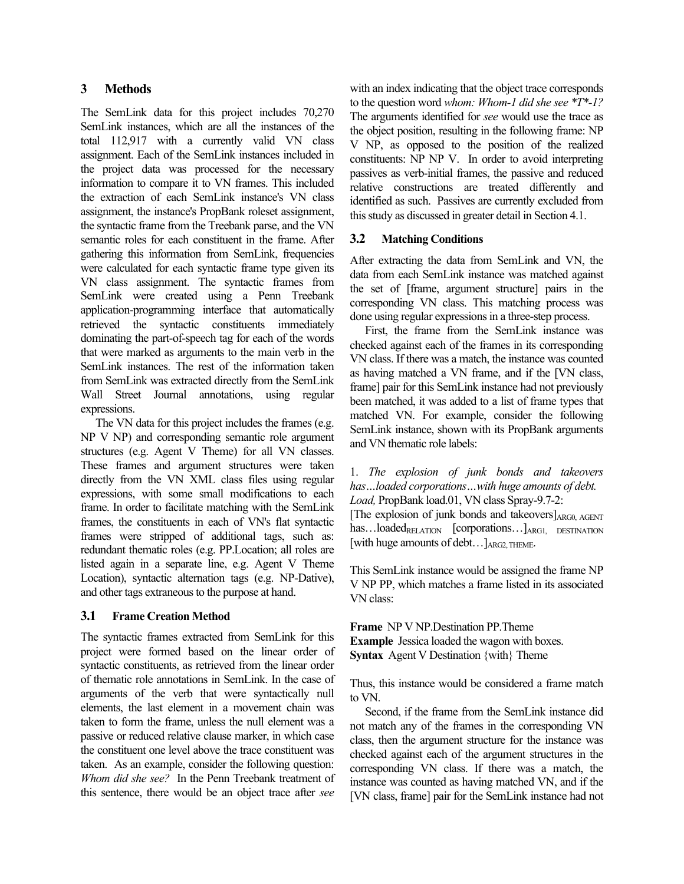# **3 Methods**

The SemLink data for this project includes 70,270 SemLink instances, which are all the instances of the total 112,917 with a currently valid VN class assignment. Each of the SemLink instances included in the project data was processed for the necessary information to compare it to VN frames. This included the extraction of each SemLink instance's VN class assignment, the instance's PropBank roleset assignment, the syntactic frame from the Treebank parse, and the VN semantic roles for each constituent in the frame. After gathering this information from SemLink, frequencies were calculated for each syntactic frame type given its VN class assignment. The syntactic frames from SemLink were created using a Penn Treebank application-programming interface that automatically retrieved the syntactic constituents immediately dominating the part-of-speech tag for each of the words that were marked as arguments to the main verb in the SemLink instances. The rest of the information taken from SemLink was extracted directly from the SemLink Wall Street Journal annotations, using regular expressions.

The VN data for this project includes the frames (e.g. NP V NP) and corresponding semantic role argument structures (e.g. Agent V Theme) for all VN classes. These frames and argument structures were taken directly from the VN XML class files using regular expressions, with some small modifications to each frame. In order to facilitate matching with the SemLink frames, the constituents in each of VN's flat syntactic frames were stripped of additional tags, such as: redundant thematic roles (e.g. PP.Location; all roles are listed again in a separate line, e.g. Agent V Theme Location), syntactic alternation tags (e.g. NP-Dative), and other tags extraneous to the purpose at hand.

# **3.1 Frame Creation Method**

The syntactic frames extracted from SemLink for this project were formed based on the linear order of syntactic constituents, as retrieved from the linear order of thematic role annotations in SemLink. In the case of arguments of the verb that were syntactically null elements, the last element in a movement chain was taken to form the frame, unless the null element was a passive or reduced relative clause marker, in which case the constituent one level above the trace constituent was taken. As an example, consider the following question: *Whom did she see?* In the Penn Treebank treatment of this sentence, there would be an object trace after *see* with an index indicating that the object trace corresponds to the question word *whom: Whom-1 did she see \*T\*-1?* The arguments identified for *see* would use the trace as the object position, resulting in the following frame: NP V NP, as opposed to the position of the realized constituents: NP NP V. In order to avoid interpreting passives as verb-initial frames, the passive and reduced relative constructions are treated differently and identified as such. Passives are currently excluded from this study as discussed in greater detail in Section 4.1.

# **3.2 Matching Conditions**

After extracting the data from SemLink and VN, the data from each SemLink instance was matched against the set of [frame, argument structure] pairs in the corresponding VN class. This matching process was done using regular expressions in a three-step process.

First, the frame from the SemLink instance was checked against each of the frames in its corresponding VN class. If there was a match, the instance was counted as having matched a VN frame, and if the [VN class, frame] pair for this SemLink instance had not previously been matched, it was added to a list of frame types that matched VN. For example, consider the following SemLink instance, shown with its PropBank arguments and VN thematic role labels:

1. *The explosion of junk bonds and takeovers has…loaded corporations…with huge amounts of debt. Load,* PropBank load.01, VN class Spray-9.7-2:

[The explosion of junk bonds and takeovers] $_{\text{ARGO, AGENT}}$  $has...loaded<sub>RELATION</sub>$  [corporations...] $<sub>ARG1</sub>$  DESTINATION</sub> [with huge amounts of debt...] ARG2, THEME.

This SemLink instance would be assigned the frame NP V NP PP, which matches a frame listed in its associated VN class:

**Frame** NP V NP.Destination PP.Theme **Example** Jessica loaded the wagon with boxes. **Syntax** Agent V Destination {with} Theme

Thus, this instance would be considered a frame match to VN.

Second, if the frame from the SemLink instance did not match any of the frames in the corresponding VN class, then the argument structure for the instance was checked against each of the argument structures in the corresponding VN class. If there was a match, the instance was counted as having matched VN, and if the [VN class, frame] pair for the SemLink instance had not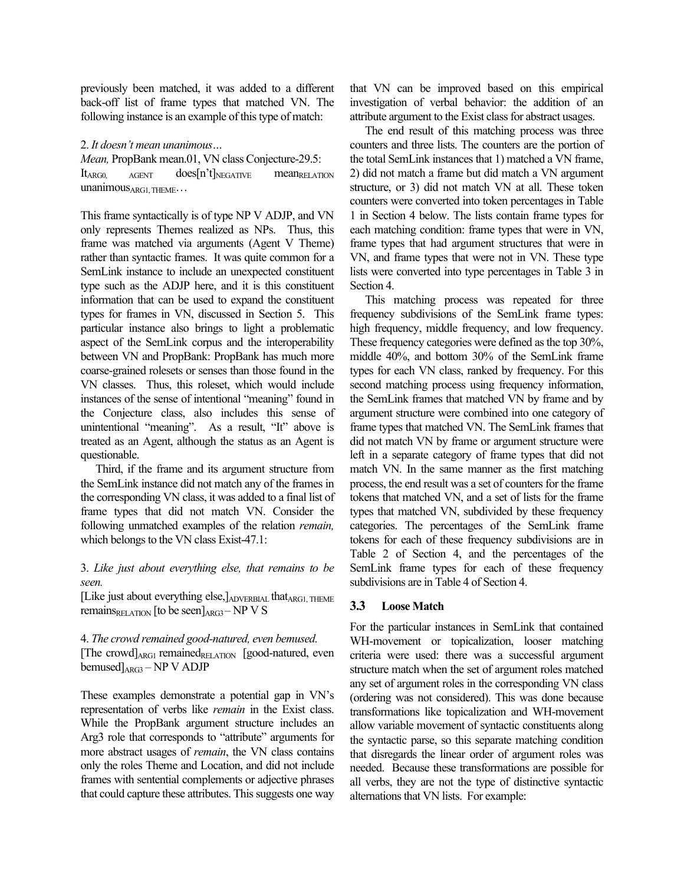previously been matched, it was added to a different back-off list of frame types that matched VN. The following instance is an example of this type of match:

#### 2. *It doesn't mean unanimous…*

*Mean,* PropBank mean.01, VN class Conjecture-29.5:  $It_{\rm ARGO}$   $_{\rm AGENT}$   $\rm{does}[n't]_{\rm NEGATIVE}$   $\rm{mean}_{\rm RELATION}$ unanimousARG1, THEME...

This frame syntactically is of type NP V ADJP, and VN only represents Themes realized as NPs. Thus, this frame was matched via arguments (Agent V Theme) rather than syntactic frames. It was quite common for a SemLink instance to include an unexpected constituent type such as the ADJP here, and it is this constituent information that can be used to expand the constituent types for frames in VN, discussed in Section 5. This particular instance also brings to light a problematic aspect of the SemLink corpus and the interoperability between VN and PropBank: PropBank has much more coarse-grained rolesets or senses than those found in the VN classes. Thus, this roleset, which would include instances of the sense of intentional "meaning" found in the Conjecture class, also includes this sense of unintentional "meaning". As a result, "It" above is treated as an Agent, although the status as an Agent is questionable.

Third, if the frame and its argument structure from the SemLink instance did not match any of the frames in the corresponding VN class, it was added to a final list of frame types that did not match VN. Consider the following unmatched examples of the relation *remain,* which belongs to the VN class Exist-47.1:

3. *Like just about everything else, that remains to be seen.*

[Like just about everything else,]ADVERBIAL thatARG1, THEME remains $_{RELATION}$  [to be seen] $_{ARG3}$  – NP V S

#### 4. *The crowd remained good-natured, even bemused.* [The crowd] $_{\text{ARG1}}$  remained<sub>RELATION</sub> [good-natured, even bemused $]_{\text{ARG3}} - \text{NP V ADJP}$

These examples demonstrate a potential gap in VN's representation of verbs like *remain* in the Exist class. While the PropBank argument structure includes an Arg3 role that corresponds to "attribute" arguments for more abstract usages of *remain*, the VN class contains only the roles Theme and Location, and did not include frames with sentential complements or adjective phrases that could capture these attributes. This suggests one way

that VN can be improved based on this empirical investigation of verbal behavior: the addition of an attribute argument to the Exist class for abstract usages.

The end result of this matching process was three counters and three lists. The counters are the portion of the total SemLink instances that 1) matched a VN frame, 2) did not match a frame but did match a VN argument structure, or 3) did not match VN at all. These token counters were converted into token percentages in Table 1 in Section 4 below. The lists contain frame types for each matching condition: frame types that were in VN, frame types that had argument structures that were in VN, and frame types that were not in VN. These type lists were converted into type percentages in Table 3 in Section 4.

This matching process was repeated for three frequency subdivisions of the SemLink frame types: high frequency, middle frequency, and low frequency. These frequency categories were defined as the top 30%, middle 40%, and bottom 30% of the SemLink frame types for each VN class, ranked by frequency. For this second matching process using frequency information, the SemLink frames that matched VN by frame and by argument structure were combined into one category of frame types that matched VN. The SemLink frames that did not match VN by frame or argument structure were left in a separate category of frame types that did not match VN. In the same manner as the first matching process, the end result was a set of counters for the frame tokens that matched VN, and a set of lists for the frame types that matched VN, subdivided by these frequency categories. The percentages of the SemLink frame tokens for each of these frequency subdivisions are in Table 2 of Section 4, and the percentages of the SemLink frame types for each of these frequency subdivisions are in Table 4 of Section 4.

# **3.3 Loose Match**

For the particular instances in SemLink that contained WH-movement or topicalization, looser matching criteria were used: there was a successful argument structure match when the set of argument roles matched any set of argument roles in the corresponding VN class (ordering was not considered). This was done because transformations like topicalization and WH-movement allow variable movement of syntactic constituents along the syntactic parse, so this separate matching condition that disregards the linear order of argument roles was needed. Because these transformations are possible for all verbs, they are not the type of distinctive syntactic alternations that VN lists. For example: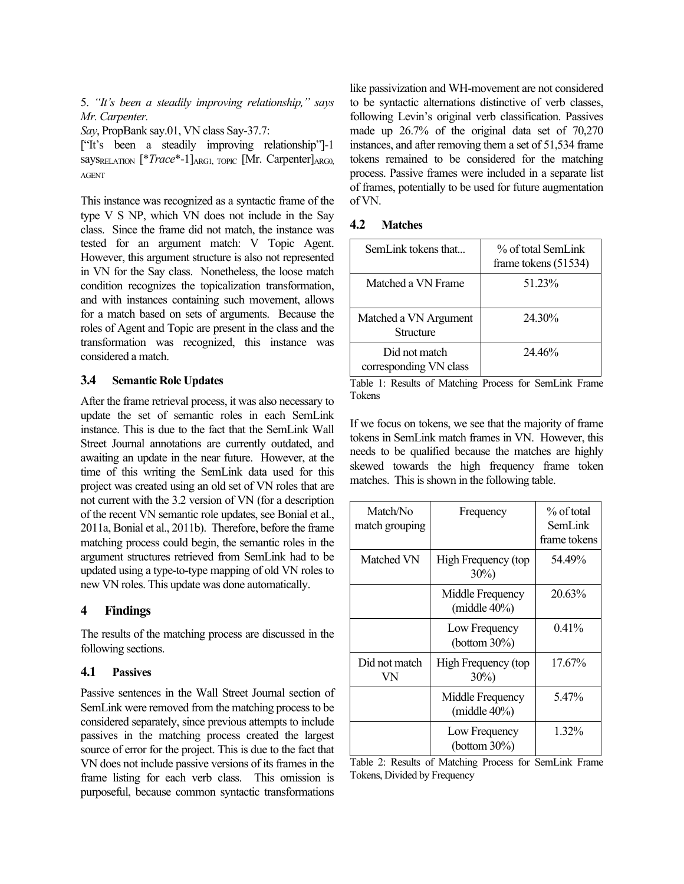5. *"It's been a steadily improving relationship," says Mr. Carpenter.*

*Say*, PropBank say.01, VN class Say-37.7:

["It's been a steadily improving relationship"]-1 says<sub>RELATION</sub> [\**Trace*\*-1]<sub>ARG1, TOPIC</sub> [Mr. Carpenter]<sub>ARG0</sub> AGENT

This instance was recognized as a syntactic frame of the type V S NP, which VN does not include in the Say class. Since the frame did not match, the instance was tested for an argument match: V Topic Agent. However, this argument structure is also not represented in VN for the Say class. Nonetheless, the loose match condition recognizes the topicalization transformation, and with instances containing such movement, allows for a match based on sets of arguments. Because the roles of Agent and Topic are present in the class and the transformation was recognized, this instance was considered a match.

#### **3.4 Semantic Role Updates**

After the frame retrieval process, it was also necessary to update the set of semantic roles in each SemLink instance. This is due to the fact that the SemLink Wall Street Journal annotations are currently outdated, and awaiting an update in the near future. However, at the time of this writing the SemLink data used for this project was created using an old set of VN roles that are not current with the 3.2 version of VN (for a description of the recent VN semantic role updates, see Bonial et al., 2011a, Bonial et al., 2011b). Therefore, before the frame matching process could begin, the semantic roles in the argument structures retrieved from SemLink had to be updated using a type-to-type mapping of old VN roles to new VN roles. This update was done automatically.

#### **4 Findings**

The results of the matching process are discussed in the following sections.

#### **4.1 Passives**

Passive sentences in the Wall Street Journal section of SemLink were removed from the matching processto be considered separately, since previous attempts to include passives in the matching process created the largest source of error for the project. This is due to the fact that VN does not include passive versions of its frames in the frame listing for each verb class. This omission is purposeful, because common syntactic transformations like passivization and WH-movement are not considered to be syntactic alternations distinctive of verb classes, following Levin's original verb classification. Passives made up 26.7% of the original data set of 70,270 instances, and after removing them a set of 51,534 frame tokens remained to be considered for the matching process. Passive frames were included in a separate list of frames, potentially to be used for future augmentation of VN.

#### **4.2 Matches**

| SemL ink tokens that                    | % of total SemLink<br>frame tokens $(51534)$ |
|-----------------------------------------|----------------------------------------------|
| Matched a VN Frame                      | 51 23%                                       |
| Matched a VN Argument<br>Structure      | 24 30%                                       |
| Did not match<br>corresponding VN class | 24.46%                                       |

Table 1: Results of Matching Process for SemLink Frame Tokens

If we focus on tokens, we see that the majority of frame tokens in SemLink match frames in VN. However, this needs to be qualified because the matches are highly skewed towards the high frequency frame token matches. This is shown in the following table.

| Match/No<br>match grouping | Frequency                            | % of total<br>SemLink<br>frame tokens |
|----------------------------|--------------------------------------|---------------------------------------|
| Matched VN                 | High Frequency (top<br>$30\%)$       | 54.49%                                |
|                            | Middle Frequency<br>(middle $40\%$ ) | 20.63%                                |
|                            | Low Frequency<br>(bottom $30\%$ )    | $0.41\%$                              |
| Did not match<br>VN        | High Frequency (top<br>$30\%)$       | 17.67%                                |
|                            | Middle Frequency<br>(middle $40\%$ ) | 5.47%                                 |
|                            | Low Frequency<br>(bottom $30\%$ )    | 1.32%                                 |

Table 2: Results of Matching Process for SemLink Frame Tokens, Divided by Frequency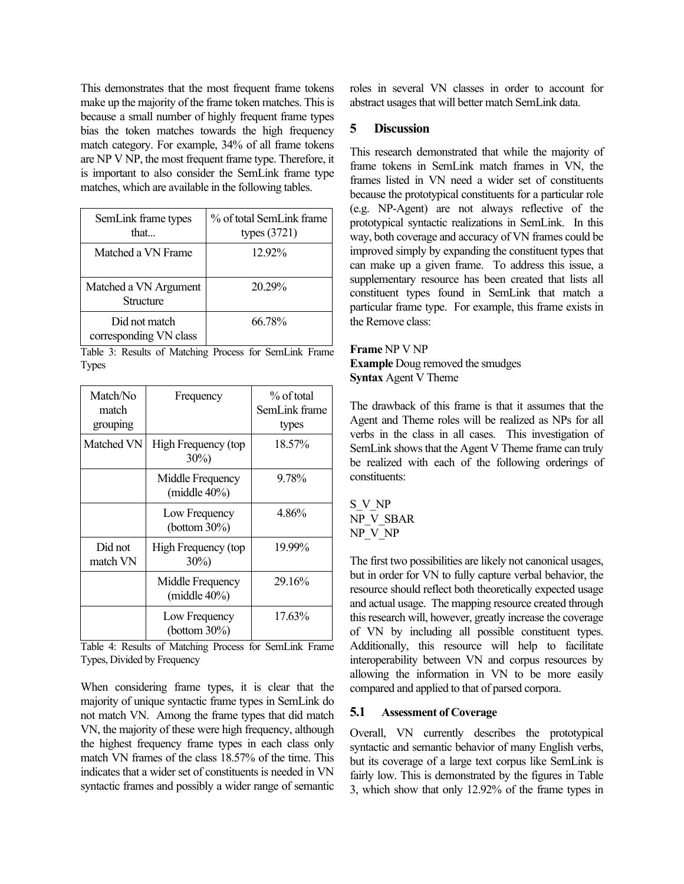This demonstrates that the most frequent frame tokens make up the majority of the frame token matches. This is because a small number of highly frequent frame types bias the token matches towards the high frequency match category. For example, 34% of all frame tokens are NP V NP, the most frequent frame type. Therefore, it is important to also consider the SemLink frame type matches, which are available in the following tables.

| SemLink frame types<br>that             | % of total SemLink frame<br>types $(3721)$ |
|-----------------------------------------|--------------------------------------------|
| Matched a VN Frame                      | 1292%                                      |
| Matched a VN Argument<br>Structure      | 20 29%                                     |
| Did not match<br>corresponding VN class | 66.78%                                     |

Table 3: Results of Matching Process for SemLink Frame Types

| Match/No<br>match<br>grouping | Frequency                                           | $\%$ of total<br>SemLink frame<br>types |
|-------------------------------|-----------------------------------------------------|-----------------------------------------|
| Matched VN                    | High Frequency (top<br>$30\%)$                      | 18.57%                                  |
|                               | Middle Frequency<br>(middle $40\%$ )                | 9.78%                                   |
|                               | Low Frequency<br>(bottom $30\%$ )                   | 4.86%                                   |
| Did not<br>match VN           | High Frequency (top<br>$30\%)$                      | 19.99%                                  |
|                               | Middle Frequency<br>(middle 40%)                    | 29.16%                                  |
| $-11$<br>$\sim$               | Low Frequency<br>(bottom $30\%$ )<br>$0 \times 1.1$ | 17.63%<br>.                             |

Table 4: Results of Matching Process for SemLink Frame Types, Divided by Frequency

When considering frame types, it is clear that the majority of unique syntactic frame types in SemLink do not match VN. Among the frame types that did match VN, the majority of these were high frequency, although the highest frequency frame types in each class only match VN frames of the class 18.57% of the time. This indicates that a wider set of constituents is needed in VN syntactic frames and possibly a wider range of semantic roles in several VN classes in order to account for abstract usages that will better match SemLink data.

# **5 Discussion**

This research demonstrated that while the majority of frame tokens in SemLink match frames in VN, the frames listed in VN need a wider set of constituents because the prototypical constituents for a particular role (e.g. NP-Agent) are not always reflective of the prototypical syntactic realizations in SemLink. In this way, both coverage and accuracy of VN frames could be improved simply by expanding the constituent types that can make up a given frame. To address this issue, a supplementary resource has been created that lists all constituent types found in SemLink that match a particular frame type. For example, this frame exists in the Remove class:

**Frame** NP V NP **Example** Doug removed the smudges **Syntax** Agent V Theme

The drawback of this frame is that it assumes that the Agent and Theme roles will be realized as NPs for all verbs in the class in all cases. This investigation of SemLink shows that the Agent V Theme frame can truly be realized with each of the following orderings of constituents:

S\_V\_NP NP\_V\_SBAR NP\_V\_NP

The first two possibilities are likely not canonical usages, but in order for VN to fully capture verbal behavior, the resource should reflect both theoretically expected usage and actual usage. The mapping resource created through this research will, however, greatly increase the coverage of VN by including all possible constituent types. Additionally, this resource will help to facilitate interoperability between VN and corpus resources by allowing the information in VN to be more easily compared and applied to that of parsed corpora.

# **5.1 Assessment of Coverage**

Overall, VN currently describes the prototypical syntactic and semantic behavior of many English verbs, but its coverage of a large text corpus like SemLink is fairly low. This is demonstrated by the figures in Table 3, which show that only 12.92% of the frame types in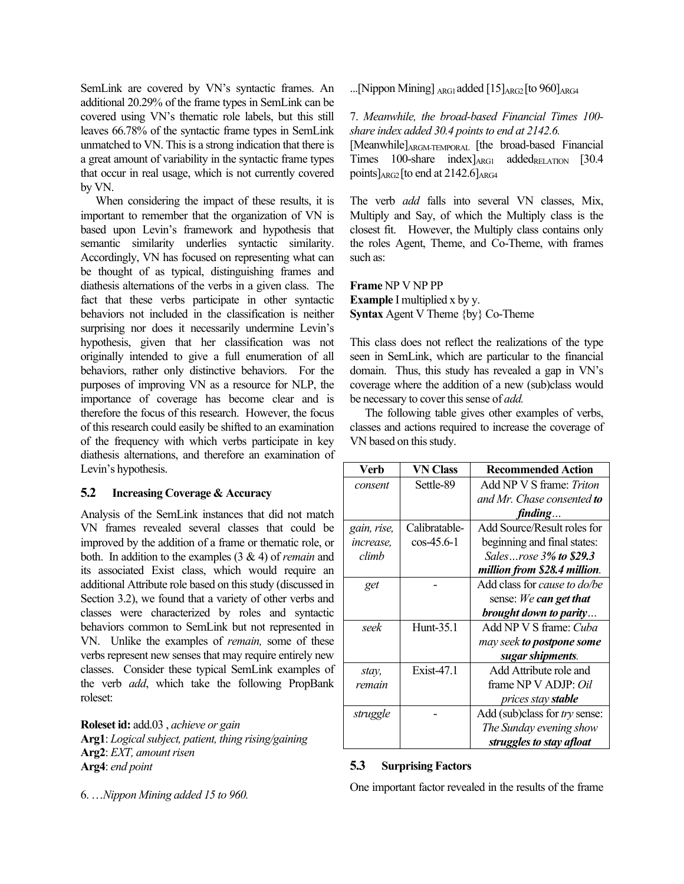SemLink are covered by VN's syntactic frames. An additional 20.29% of the frame types in SemLink can be covered using VN's thematic role labels, but this still leaves 66.78% of the syntactic frame types in SemLink unmatched to VN. This is a strong indication that there is a great amount of variability in the syntactic frame types that occur in real usage, which is not currently covered by VN.

When considering the impact of these results, it is important to remember that the organization of VN is based upon Levin's framework and hypothesis that semantic similarity underlies syntactic similarity. Accordingly, VN has focused on representing what can be thought of as typical, distinguishing frames and diathesis alternations of the verbs in a given class. The fact that these verbs participate in other syntactic behaviors not included in the classification is neither surprising nor does it necessarily undermine Levin's hypothesis, given that her classification was not originally intended to give a full enumeration of all behaviors, rather only distinctive behaviors. For the purposes of improving VN as a resource for NLP, the importance of coverage has become clear and is therefore the focus of this research. However, the focus of this research could easily be shifted to an examination of the frequency with which verbs participate in key diathesis alternations, and therefore an examination of Levin's hypothesis.

# **5.2 Increasing Coverage & Accuracy**

Analysis of the SemLink instances that did not match VN frames revealed several classes that could be improved by the addition of a frame or thematic role, or both. In addition to the examples (3 & 4) of *remain* and its associated Exist class, which would require an additional Attribute role based on this study (discussed in Section 3.2), we found that a variety of other verbs and classes were characterized by roles and syntactic behaviors common to SemLink but not represented in VN. Unlike the examples of *remain,* some of these verbs represent new senses that may require entirely new classes. Consider these typical SemLink examples of the verb *add*, which take the following PropBank roleset:

**Roleset id:** add.03 , *achieve or gain* **Arg1**: *Logicalsubject, patient, thing rising/gaining* Arg2: *EXT*, *amount risen* **Arg4**: *end point*

6. …*Nippon Mining added 15 to 960.*

...[Nippon Mining]  $_{\text{ARG1}}$  added [15]  $_{\text{ARG2}}$ [to 960]  $_{\text{ARG4}}$ 

7. *Meanwhile, the broad-based Financial Times 100 share index added* 30.4 *points to end at* 2142.6.

[Meanwhile]ARGM-TEMPORAL [the broad-based Financial Times  $100$ -share index] $_{\text{ARG1}}$  added $_{\text{RELATION}}$  [30.4] points] $_{\text{ARG2}}$ [to end at 2142.6] $_{\text{ARG4}}$ 

The verb *add* falls into several VN classes, Mix, Multiply and Say, of which the Multiply class is the closest fit. However, the Multiply class contains only the roles Agent, Theme, and Co-Theme, with frames such as:

**Frame** NP V NP PP **Example** I multiplied x by y. **Syntax** Agent V Theme {by} Co-Theme

This class does not reflect the realizations of the type seen in SemLink, which are particular to the financial domain. Thus, this study has revealed a gap in VN's coverage where the addition of a new (sub)class would be necessary to cover this sense of *add*.

The following table gives other examples of verbs, classes and actions required to increase the coverage of VN based on this study.

| Verb             | VN Class         | <b>Recommended Action</b>        |
|------------------|------------------|----------------------------------|
| consent          | Settle-89        | Add NP V S frame: <i>Triton</i>  |
|                  |                  | and Mr. Chase consented to       |
|                  |                  | finding                          |
| gain, rise,      | Calibratable-    | Add Source/Result roles for      |
| <i>increase.</i> | $\cos -45.6 - 1$ | beginning and final states:      |
| climb            |                  | Salesrose 3% to \$29.3           |
|                  |                  | million from \$28.4 million.     |
| get              |                  | Add class for cause to do/be     |
|                  |                  | sense: We can get that           |
|                  |                  | brought down to parity           |
| seek             | Hunt-35.1        | Add NP V S frame: Cuba           |
|                  |                  | may seek <b>to postpone some</b> |
|                  |                  | sugar shipments.                 |
| stay,            | Exist-47.1       | Add Attribute role and           |
| remain           |                  | frame NP V ADJP: Oil             |
|                  |                  | prices stay <b>stable</b>        |
| struggle         |                  | Add (sub)class for try sense:    |
|                  |                  | The Sunday evening show          |
|                  |                  | struggles to stay afloat         |

#### **5.3 Surprising Factors**

One important factor revealed in the results of the frame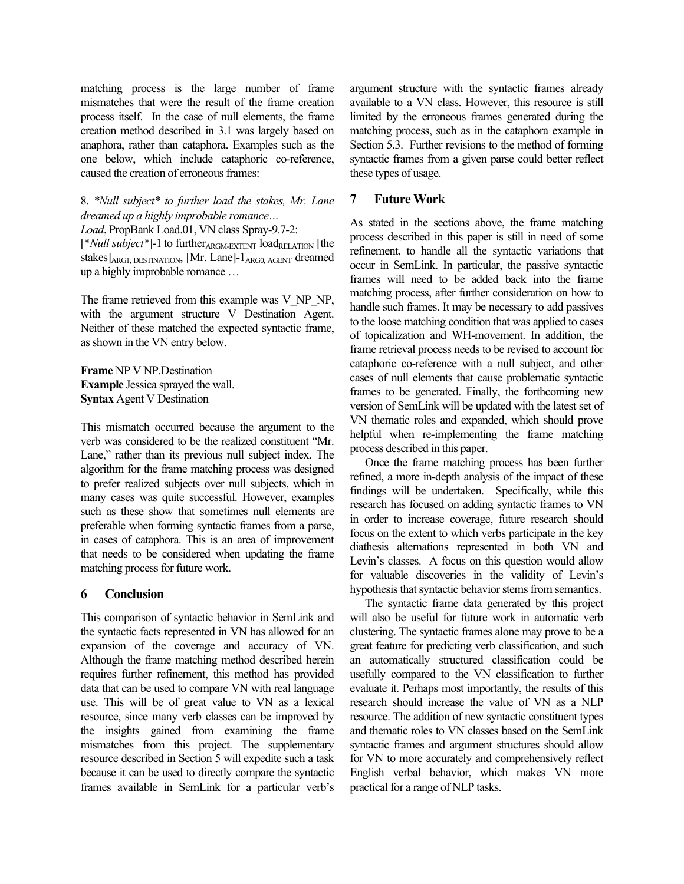matching process is the large number of frame mismatches that were the result of the frame creation process itself. In the case of null elements, the frame creation method described in 3.1 was largely based on anaphora, rather than cataphora. Examples such as the one below, which include cataphoric co-reference, caused the creation of erroneous frames:

8. *\*Null subject\* to further load the stakes, Mr. Lane dreamed up a highly improbable romance…*

*Load*, PropBank Load.01, VN class Spray-9.7-2:

[\**Null subject*\*]-1 to further<sub>ARGM-EXTENT</sub> load<sub>RELATION</sub> [the stakes]<sub>ARG1, DESTINATION</sub>, [Mr. Lane]-1<sub>ARG0, AGENT</sub> dreamed up a highly improbable romance …

The frame retrieved from this example was V\_NP\_NP, with the argument structure V Destination Agent. Neither of these matched the expected syntactic frame, asshown in the VN entry below.

**Frame** NP V NP.Destination **Example** Jessica sprayed the wall. **Syntax** Agent V Destination

This mismatch occurred because the argument to the verb was considered to be the realized constituent "Mr. Lane," rather than its previous null subject index. The algorithm for the frame matching process was designed to prefer realized subjects over null subjects, which in many cases was quite successful. However, examples such as these show that sometimes null elements are preferable when forming syntactic frames from a parse, in cases of cataphora. This is an area of improvement that needs to be considered when updating the frame matching process for future work.

# **6 Conclusion**

This comparison of syntactic behavior in SemLink and the syntactic facts represented in VN has allowed for an expansion of the coverage and accuracy of VN. Although the frame matching method described herein requires further refinement, this method has provided data that can be used to compare VN with real language use. This will be of great value to VN as a lexical resource, since many verb classes can be improved by the insights gained from examining the frame mismatches from this project. The supplementary resource described in Section 5 will expedite such a task because it can be used to directly compare the syntactic frames available in SemLink for a particular verb's argument structure with the syntactic frames already available to a VN class. However, this resource is still limited by the erroneous frames generated during the matching process, such as in the cataphora example in Section 5.3. Further revisions to the method of forming syntactic frames from a given parse could better reflect these types of usage.

# **7 Future Work**

As stated in the sections above, the frame matching process described in this paper is still in need of some refinement, to handle all the syntactic variations that occur in SemLink. In particular, the passive syntactic frames will need to be added back into the frame matching process, after further consideration on how to handle such frames. It may be necessary to add passives to the loose matching condition that was applied to cases of topicalization and WH-movement. In addition, the frame retrieval process needs to be revised to account for cataphoric co-reference with a null subject, and other cases of null elements that cause problematic syntactic frames to be generated. Finally, the forthcoming new version of SemLink will be updated with the latest set of VN thematic roles and expanded, which should prove helpful when re-implementing the frame matching process described in this paper.

Once the frame matching process has been further refined, a more in-depth analysis of the impact of these findings will be undertaken. Specifically, while this research has focused on adding syntactic frames to VN in order to increase coverage, future research should focus on the extent to which verbs participate in the key diathesis alternations represented in both VN and Levin's classes. A focus on this question would allow for valuable discoveries in the validity of Levin's hypothesis that syntactic behavior stems from semantics.

The syntactic frame data generated by this project will also be useful for future work in automatic verb clustering. The syntactic frames alone may prove to be a great feature for predicting verb classification, and such an automatically structured classification could be usefully compared to the VN classification to further evaluate it. Perhaps most importantly, the results of this research should increase the value of VN as a NLP resource. The addition of new syntactic constituent types and thematic roles to VN classes based on the SemLink syntactic frames and argument structures should allow for VN to more accurately and comprehensively reflect English verbal behavior, which makes VN more practical for a range of NLP tasks.